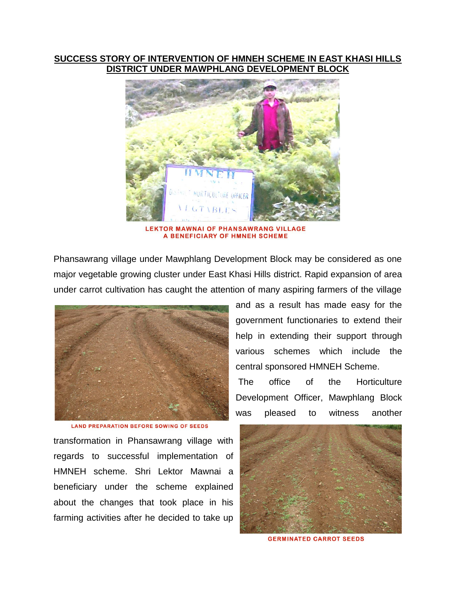## **SUCCESS STORY OF INTERVENTION OF HMNEH SCHEME IN EAST KHASI HILLS DISTRICT UNDER MAWPHLANG DEVELOPMENT BL**



**OR MAWNAI OF PHANSAWRANG AGE** A BENEFICIARY OF HMNEH SCHEME

Phansawrang village under Mawphlang Development Block may be considered as one major vegetable growing cluster under East Khasi Hills district. Rapid expansion of area under carrot cultivation has caught the attention of many aspiring farmers of the village



**LAND PREPARATION BEFORE SOWING OF SEEDS** 

transformation in Phansawrang village with regards to successful implementation of HMNEH scheme. Shri Lektor Mawnai a beneficiary under the scheme explained about the changes that took place in his farming activities after he decided to take up

and as a result has made easy for the government functionaries to extend their help in extending their support through various schemes which include the central sponsored HMNEH Scheme.

The office of the Horticulture Development Officer, Mawphlang Block was pleased to witness another



**GERMINATED CARROT SEEDS**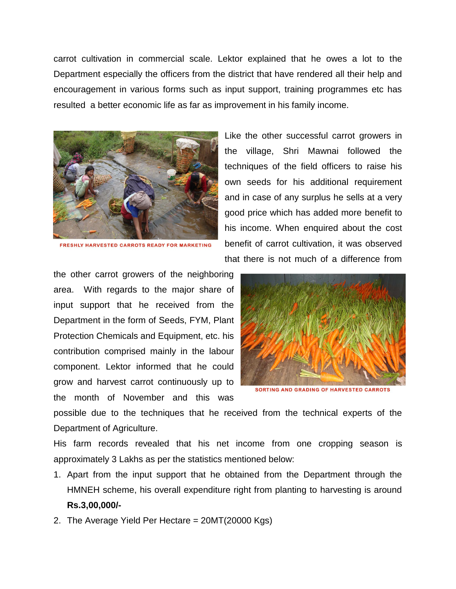carrot cultivation in commercial scale. Lektor explained that he owes a lot to the Department especially the officers from the district that have rendered all their help and encouragement in various forms such as input support, training programmes etc has resulted a better economic life as far as improvement in his family income.



FRESHLY HARVESTED CARROTS READY FOR MARKETING

the other carrot growers of the neighboring area. With regards to the major share of input support that he received from the Department in the form of Seeds, FYM, Plant Protection Chemicals and Equipment, etc. his contribution comprised mainly in the labour component. Lektor informed that he could grow and harvest carrot continuously up to the month of November and this was

Like the other successful carrot growers in the village, Shri Mawnai followed the techniques of the field officers to raise his own seeds for his additional requirement and in case of any surplus he sells at a very good price which has added more benefit to his income. When enquired about the cost benefit of carrot cultivation, it was observed that there is not much of a difference from



**SORTING AND GRADING OF HARVESTED CARROTS** 

possible due to the techniques that he received from the technical experts of the Department of Agriculture.

His farm records revealed that his net income from one cropping season is approximately 3 Lakhs as per the statistics mentioned below:

- 1. Apart from the input support that he obtained from the Department through the HMNEH scheme, his overall expenditure right from planting to harvesting is around **Rs.3,00,000/-**
- 2. The Average Yield Per Hectare = 20MT(20000 Kgs)